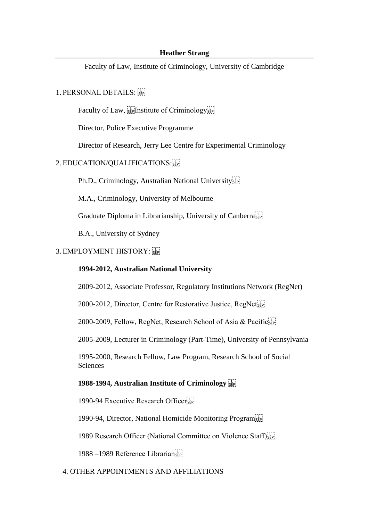#### **Heather Strang**

Faculty of Law, Institute of Criminology, University of Cambridge

## 1. PERSONAL DETAILS: SEP!

Faculty of Law,  $\frac{1}{15}$  Institute of Criminology sep

Director, Police Executive Programme

Director of Research, Jerry Lee Centre for Experimental Criminology

## 2. EDUCATION/QUALIFICATIONS:

Ph.D., Criminology, Australian National University

M.A., Criminology, University of Melbourne

Graduate Diploma in Librarianship, University of Canberra<sup>[11]</sup>

B.A., University of Sydney

# 3. EMPLOYMENT HISTORY:

### **1994-2012, Australian National University**

2009-2012, Associate Professor, Regulatory Institutions Network (RegNet)

2000-2012, Director, Centre for Restorative Justice,  $\text{RegNet}_{\text{SEP}}^{[1]}$ 

2000-2009, Fellow, RegNet, Research School of Asia & PacificsEP

2005-2009, Lecturer in Criminology (Part-Time), University of Pennsylvania

1995-2000, Research Fellow, Law Program, Research School of Social Sciences

## **1988-1994, Australian Institute of Criminology**

1990-94 Executive Research Officersep

1990-94, Director, National Homicide Monitoring Program

1989 Research Officer (National Committee on Violence Staff)<sup>[17]</sup>

1988 –1989 Reference Librarian

## 4. OTHER APPOINTMENTS AND AFFILIATIONS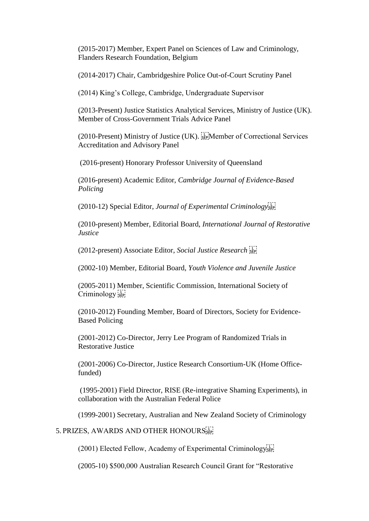(2015-2017) Member, Expert Panel on Sciences of Law and Criminology, Flanders Research Foundation, Belgium

(2014-2017) Chair, Cambridgeshire Police Out-of-Court Scrutiny Panel

(2014) King's College, Cambridge, Undergraduate Supervisor

(2013-Present) Justice Statistics Analytical Services, Ministry of Justice (UK). Member of Cross-Government Trials Advice Panel

(2010-Present) Ministry of Justice (UK). Member of Correctional Services Accreditation and Advisory Panel

(2016-present) Honorary Professor University of Queensland

(2016-present) Academic Editor, *Cambridge Journal of Evidence-Based Policing*

(2010-12) Special Editor, *Journal of Experimental Criminology*

(2010-present) Member, Editorial Board, *International Journal of Restorative Justice*

(2012-present) Associate Editor, *Social Justice Research* 

(2002-10) Member, Editorial Board, *Youth Violence and Juvenile Justice* 

(2005-2011) Member, Scientific Commission, International Society of Criminology<sup>[1]</sup>

(2010-2012) Founding Member, Board of Directors, Society for Evidence-Based Policing

(2001-2012) Co-Director, Jerry Lee Program of Randomized Trials in Restorative Justice

(2001-2006) Co-Director, Justice Research Consortium-UK (Home Officefunded)

(1995-2001) Field Director, RISE (Re-integrative Shaming Experiments), in collaboration with the Australian Federal Police

(1999-2001) Secretary, Australian and New Zealand Society of Criminology

5. PRIZES, AWARDS AND OTHER HONOURSER

(2001) Elected Fellow, Academy of Experimental Criminology

(2005-10) \$500,000 Australian Research Council Grant for "Restorative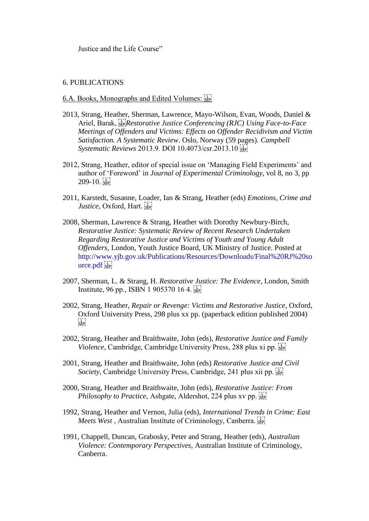Justice and the Life Course"

#### 6. PUBLICATIONS

### 6.A. Books, Monographs and Edited Volumes:

- 2013, Strang, Heather, Sherman, Lawrence, Mayo-Wilson, Evan, Woods, Daniel & Ariel, Barak,  $\overline{SP}$ *Restorative Justice Conferencing (RJC) Using Face-to-Face Meetings of Offenders and Victims: Effects on Offender Recidivism and Victim Satisfaction. A Systematic Review*. Oslo, Norway (59 pages). *Campbell Systematic Reviews* 2013.9. DOI 10.4073/csr.2013.10
- 2012, Strang, Heather, editor of special issue on 'Managing Field Experiments' and author of 'Foreword' in *Journal of Experimental Criminology*, vol 8, no 3, pp  $209-10.5$
- 2011, Karstedt, Susanne, Loader, Ian & Strang, Heather (eds) *Emotions, Crime and Justice*, Oxford, Hart.
- 2008, Sherman, Lawrence & Strang, Heather with Dorothy Newbury-Birch, *Restorative Justice: Systematic Review of Recent Research Undertaken Regarding Restorative Justice and Victims of Youth and Young Adult Offenders*, London, Youth Justice Board, UK Ministry of Justice. Posted at http://www.yjb.gov.uk/Publications/Resources/Downloads/Final%20RJ%20so urce.pdf sep
- 2007, Sherman, L. & Strang, H. *Restorative Justice: The Evidence*, London, Smith Institute, 96 pp., ISBN 1 905370 16 4.
- 2002*,* Strang, Heather, *Repair or Revenge: Victims and Restorative Justice*, Oxford, Oxford University Press, 298 plus xx pp. (paperback edition published 2004)  $\frac{1}{2}$ SEP
- 2002, Strang, Heather and Braithwaite, John (eds), *Restorative Justice and Family Violence*, Cambridge, Cambridge University Press, 288 plus xi pp.
- 2001, Strang, Heather and Braithwaite, John (eds) *Restorative Justice and Civil Society*, Cambridge University Press, Cambridge, 241 plus xii pp.  $\frac{1}{2}$
- 2000, Strang, Heather and Braithwaite, John (eds), *Restorative Justice: From Philosophy to Practice*, Ashgate, Aldershot, 224 plus xv pp.  $\frac{1}{25}$
- 1992, Strang, Heather and Vernon, Julia (eds), *International Trends in Crime: East Meets West*, Australian Institute of Criminology, Canberra.
- 1991, Chappell, Duncan, Grabosky, Peter and Strang, Heather (eds), *Australian Violence: Contemporary Perspectives*, Australian Institute of Criminology, Canberra.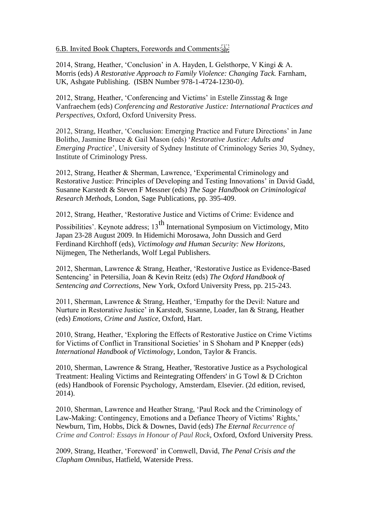### 6.B. Invited Book Chapters, Forewords and Comments:

2014, Strang, Heather, 'Conclusion' in A. Hayden, L Gelsthorpe, V Kingi & A. Morris (eds) *A Restorative Approach to Family Violence: Changing Tack.* Farnham, UK, Ashgate Publishing. (ISBN Number 978-1-4724-1230-0).

2012, Strang, Heather, 'Conferencing and Victims' in Estelle Zinsstag & Inge Vanfraechem (eds) *Conferencing and Restorative Justice: International Practices and Perspectives*, Oxford, Oxford University Press.

2012, Strang, Heather, 'Conclusion: Emerging Practice and Future Directions' in Jane Bolitho, Jasmine Bruce & Gail Mason (eds) '*Restorative Justice: Adults and Emerging Practice*', University of Sydney Institute of Criminology Series 30, Sydney, Institute of Criminology Press.

2012, Strang, Heather & Sherman, Lawrence, 'Experimental Criminology and Restorative Justice: Principles of Developing and Testing Innovations' in David Gadd, Susanne Karstedt & Steven F Messner (eds) *The Sage Handbook on Criminological Research Methods*, London, Sage Publications, pp. 395-409.

2012, Strang, Heather, 'Restorative Justice and Victims of Crime: Evidence and

Possibilities'. Keynote address; 13<sup>th</sup> International Symposium on Victimology, Mito Japan 23-28 August 2009. In Hidemichi Morosawa, John Dussich and Gerd Ferdinand Kirchhoff (eds), *Victimology and Human Security: New Horizons,*  Nijmegen, The Netherlands, Wolf Legal Publishers.

2012, Sherman, Lawrence & Strang, Heather, 'Restorative Justice as Evidence-Based Sentencing' in Petersilia, Joan & Kevin Reitz (eds) *The Oxford Handbook of Sentencing and Corrections*, New York, Oxford University Press, pp. 215-243.

2011, Sherman, Lawrence & Strang, Heather, 'Empathy for the Devil: Nature and Nurture in Restorative Justice' in Karstedt, Susanne, Loader, Ian & Strang, Heather (eds) *Emotions, Crime and Justice*, Oxford, Hart.

2010, Strang, Heather, 'Exploring the Effects of Restorative Justice on Crime Victims for Victims of Conflict in Transitional Societies' in S Shoham and P Knepper (eds) *International Handbook of Victimology*, London, Taylor & Francis.

2010, Sherman, Lawrence & Strang, Heather, 'Restorative Justice as a Psychological Treatment: Healing Victims and Reintegrating Offenders' in G Towl & D Crichton (eds) Handbook of Forensic Psychology, Amsterdam, Elsevier. (2d edition, revised, 2014).

2010, Sherman, Lawrence and Heather Strang, 'Paul Rock and the Criminology of Law-Making: Contingency, Emotions and a Defiance Theory of Victims' Rights,' Newburn, Tim, Hobbs, Dick & Downes, David (eds) *The Eternal Recurrence of Crime and Control: Essays in Honour of Paul Rock*, Oxford, Oxford University Press.

2009, Strang, Heather, 'Foreword' in Cornwell, David, *The Penal Crisis and the Clapham Omnibus*, Hatfield, Waterside Press.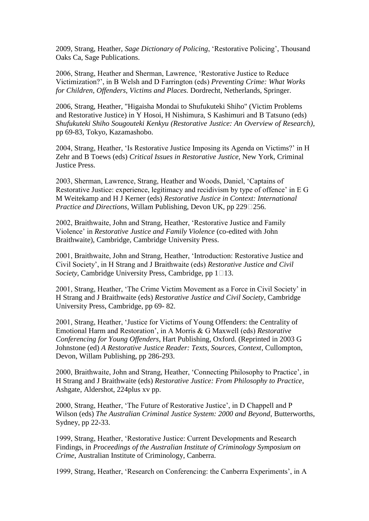2009, Strang, Heather, *Sage Dictionary of Policing*, 'Restorative Policing', Thousand Oaks Ca, Sage Publications.

2006, Strang, Heather and Sherman, Lawrence, 'Restorative Justice to Reduce Victimization?', in B Welsh and D Farrington (eds) *Preventing Crime: What Works for Children, Offenders, Victims and Places.* Dordrecht, Netherlands, Springer.

2006, Strang, Heather, "Higaisha Mondai to Shufukuteki Shiho" (Victim Problems and Restorative Justice) in Y Hosoi, H Nishimura, S Kashimuri and B Tatsuno (eds) *Shufukuteki Shiho Sougouteki Kenkyu (Restorative Justice: An Overview of Research)*, pp 69-83, Tokyo, Kazamashobo.

2004, Strang, Heather, 'Is Restorative Justice Imposing its Agenda on Victims?' in H Zehr and B Toews (eds) *Critical Issues in Restorative Justice*, New York, Criminal Justice Press.

2003, Sherman, Lawrence, Strang, Heather and Woods, Daniel, 'Captains of Restorative Justice: experience, legitimacy and recidivism by type of offence' in E G M Weitekamp and H J Kerner (eds) *Restorative Justice in Context: International Practice and Directions*, Willam Publishing, Devon UK, pp 229 $\square$ 256.

2002, Braithwaite, John and Strang, Heather, 'Restorative Justice and Family Violence' in *Restorative Justice and Family Violence* (co-edited with John Braithwaite), Cambridge, Cambridge University Press.

2001, Braithwaite, John and Strang, Heather, 'Introduction: Restorative Justice and Civil Society', in H Strang and J Braithwaite (eds) *Restorative Justice and Civil Society*, Cambridge University Press, Cambridge, pp  $1 \square 13$ .

2001, Strang, Heather, 'The Crime Victim Movement as a Force in Civil Society' in H Strang and J Braithwaite (eds) *Restorative Justice and Civil Society*, Cambridge University Press, Cambridge, pp 69- 82.

2001, Strang, Heather, 'Justice for Victims of Young Offenders: the Centrality of Emotional Harm and Restoration', in A Morris & G Maxwell (eds) *Restorative Conferencing for Young Offenders*, Hart Publishing, Oxford. (Reprinted in 2003 G Johnstone (ed) *A Restorative Justice Reader: Texts, Sources, Context*, Cullompton, Devon, Willam Publishing, pp 286-293.

2000, Braithwaite, John and Strang, Heather, 'Connecting Philosophy to Practice', in H Strang and J Braithwaite (eds) *Restorative Justice: From Philosophy to Practice*, Ashgate, Aldershot, 224plus xv pp.

2000, Strang, Heather, 'The Future of Restorative Justice', in D Chappell and P Wilson (eds) *The Australian Criminal Justice System: 2000 and Beyond*, Butterworths, Sydney, pp 22-33.

1999, Strang, Heather, 'Restorative Justice: Current Developments and Research Findings, in *Proceedings of the Australian Institute of Criminology Symposium on Crime*, Australian Institute of Criminology, Canberra.

1999, Strang, Heather, 'Research on Conferencing: the Canberra Experiments', in A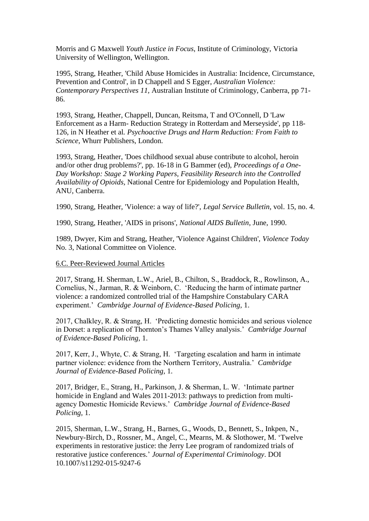Morris and G Maxwell *Youth Justice in Focus*, Institute of Criminology, Victoria University of Wellington, Wellington.

1995, Strang, Heather, 'Child Abuse Homicides in Australia: Incidence, Circumstance, Prevention and Control', in D Chappell and S Egger, *Australian Violence: Contemporary Perspectives 11,* Australian Institute of Criminology, Canberra, pp 71- 86.

1993, Strang, Heather, Chappell, Duncan, Reitsma, T and O'Connell, D 'Law Enforcement as a Harm- Reduction Strategy in Rotterdam and Merseyside', pp 118- 126, in N Heather et al*. Psychoactive Drugs and Harm Reduction: From Faith to Science*, Whurr Publishers, London.

1993, Strang, Heather, 'Does childhood sexual abuse contribute to alcohol, heroin and/or other drug problems?', pp. 16-18 in G Bammer (ed), *Proceedings of a One-Day Workshop: Stage 2 Working Papers, Feasibility Research into the Controlled Availability of Opioids,* National Centre for Epidemiology and Population Health, ANU, Canberra.

1990, Strang, Heather, 'Violence: a way of life?', *Legal Service Bulletin*, vol. 15, no. 4.

1990, Strang, Heather, 'AIDS in prisons', *National AIDS Bulletin*, June, 1990.

1989, Dwyer, Kim and Strang, Heather, 'Violence Against Children', *Violence Today*  No. 3, National Committee on Violence.

#### 6.C. Peer-Reviewed Journal Articles

2017, Strang, H. Sherman, L.W., Ariel, B., Chilton, S., Braddock, R., Rowlinson, A., Cornelius, N., Jarman, R. & Weinborn, C. 'Reducing the harm of intimate partner violence: a randomized controlled trial of the Hampshire Constabulary CARA experiment.' *Cambridge Journal of Evidence-Based Policing,* 1.

2017, Chalkley, R. & Strang, H. 'Predicting domestic homicides and serious violence in Dorset: a replication of Thornton's Thames Valley analysis.' *Cambridge Journal of Evidence-Based Policing,* 1.

2017, Kerr, J., Whyte, C. & Strang, H. 'Targeting escalation and harm in intimate partner violence: evidence from the Northern Territory, Australia.' *Cambridge Journal of Evidence-Based Policing,* 1.

2017, Bridger, E., Strang, H., Parkinson, J. & Sherman, L. W. 'Intimate partner homicide in England and Wales 2011-2013: pathways to prediction from multiagency Domestic Homicide Reviews.' *Cambridge Journal of Evidence-Based Policing,* 1.

2015, Sherman, L.W., Strang, H., Barnes, G., Woods, D., Bennett, S., Inkpen, N., Newbury-Birch, D., Rossner, M., Angel, C., Mearns, M. & Slothower, M. 'Twelve experiments in restorative justice: the Jerry Lee program of randomized trials of restorative justice conferences.' *Journal of Experimental Criminology*. DOI 10.1007/s11292-015-9247-6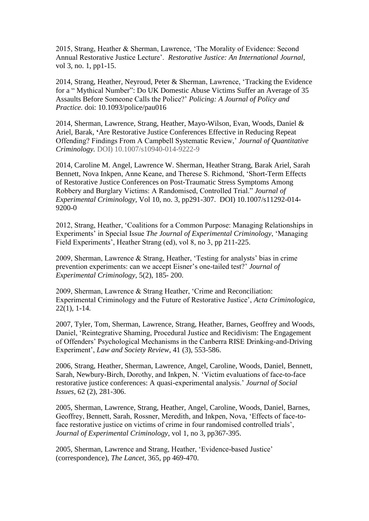2015, Strang, Heather & Sherman, Lawrence, 'The Morality of Evidence: Second Annual Restorative Justice Lecture'. *Restorative Justice: An International Journal*, vol 3, no. 1, pp1-15.

2014, Strang, Heather, Neyroud, Peter & Sherman, Lawrence, 'Tracking the Evidence for a " Mythical Number": Do UK Domestic Abuse Victims Suffer an Average of 35 Assaults Before Someone Calls the Police?' *Policing: A Journal of Policy and Practice.* doi: 10.1093/police/pau016

2014, Sherman, Lawrence, Strang, Heather, Mayo-Wilson, Evan, Woods, Daniel & Ariel, Barak, **'**Are Restorative Justice Conferences Effective in Reducing Repeat Offending? Findings From A Campbell Systematic Review,' *Journal of Quantitative Criminology.* DOI) 10.1007/s10940-014-9222-9

2014, Caroline M. Angel, Lawrence W. Sherman, Heather Strang, Barak Ariel, Sarah Bennett, Nova Inkpen, Anne Keane, and Therese S. Richmond, 'Short-Term Effects of Restorative Justice Conferences on Post-Traumatic Stress Symptoms Among Robbery and Burglary Victims: A Randomised, Controlled Trial." *Journal of Experimental Criminology,* Vol 10, no. 3, pp291-307.DOI) 10.1007/s11292-014- 9200-0

2012, Strang, Heather, 'Coalitions for a Common Purpose: Managing Relationships in Experiments' in Special Issue *The Journal of Experimental Criminology*, 'Managing Field Experiments', Heather Strang (ed), vol 8, no 3, pp 211-225.

2009, Sherman, Lawrence & Strang, Heather, 'Testing for analysts' bias in crime prevention experiments: can we accept Eisner's one-tailed test?' *Journal of Experimental Criminology*, 5(2), 185- 200.

2009, Sherman, Lawrence & Strang Heather, 'Crime and Reconciliation: Experimental Criminology and the Future of Restorative Justice', *Acta Criminologica*, 22(1), 1-14*.*

2007, Tyler, Tom, Sherman, Lawrence, Strang, Heather, Barnes, Geoffrey and Woods, Daniel, 'Reintegrative Shaming, Procedural Justice and Recidivism: The Engagement of Offenders' Psychological Mechanisms in the Canberra RISE Drinking-and-Driving Experiment', *Law and Society Review*, 41 (3), 553-586.

2006, Strang, Heather, Sherman, Lawrence, Angel, Caroline, Woods, Daniel, Bennett, Sarah, Newbury-Birch, Dorothy, and Inkpen, N. 'Victim evaluations of face-to-face restorative justice conferences: A quasi-experimental analysis.' *Journal of Social Issues*, 62 (2), 281-306.

2005, Sherman, Lawrence, Strang, Heather, Angel, Caroline, Woods, Daniel, Barnes, Geoffrey, Bennett, Sarah, Rossner, Meredith, and Inkpen, Nova, 'Effects of face-toface restorative justice on victims of crime in four randomised controlled trials', *Journal of Experimental Criminology*, vol 1, no 3, pp367-395.

2005, Sherman, Lawrence and Strang, Heather, 'Evidence-based Justice' (correspondence), *The Lancet*, 365, pp 469-470.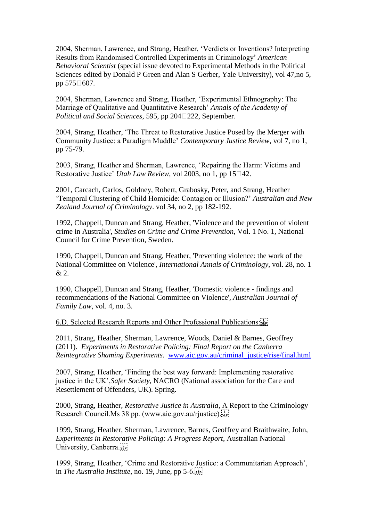2004, Sherman, Lawrence, and Strang, Heather, 'Verdicts or Inventions? Interpreting Results from Randomised Controlled Experiments in Criminology' *American Behavioral Scientist* (special issue devoted to Experimental Methods in the Political Sciences edited by Donald P Green and Alan S Gerber, Yale University), vol 47,no 5, pp 575□607.

2004, Sherman, Lawrence and Strang, Heather, 'Experimental Ethnography: The Marriage of Qualitative and Quantitative Research' *Annals of the Academy of Political and Social Sciences*, 595, pp 204<sup> $\Box$ 222, September.</sup>

2004, Strang, Heather, 'The Threat to Restorative Justice Posed by the Merger with Community Justice: a Paradigm Muddle' *Contemporary Justice Review,* vol 7, no 1, pp 75-79.

2003, Strang, Heather and Sherman, Lawrence, 'Repairing the Harm: Victims and Restorative Justice' *Utah Law Review*, vol 2003, no 1, pp 15□42.

2001, Carcach, Carlos, Goldney, Robert, Grabosky, Peter, and Strang, Heather 'Temporal Clustering of Child Homicide: Contagion or Illusion?' *Australian and New Zealand Journal of Criminology*. vol 34, no 2, pp 182-192.

1992, Chappell, Duncan and Strang, Heather, 'Violence and the prevention of violent crime in Australia', *Studies on Crime and Crime Prevention*, Vol. 1 No. 1, National Council for Crime Prevention, Sweden.

1990, Chappell, Duncan and Strang, Heather, 'Preventing violence: the work of the National Committee on Violence', *International Annals of Criminology*, vol. 28, no. 1  $& 2.$ 

1990, Chappell, Duncan and Strang, Heather, 'Domestic violence - findings and recommendations of the National Committee on Violence', *Australian Journal of Family Law*, vol. 4, no. 3.

### 6.D. Selected Research Reports and Other Professional Publications:

2011, Strang, Heather, Sherman, Lawrence, Woods, Daniel & Barnes, Geoffrey (2011). *Experiments in Restorative Policing: Final Report on the Canberra Reintegrative Shaming Experiments.* [www.aic.gov.au/criminal\\_justice/rise/final.html](http://www.aic.gov.au/criminal_justice/rise/final.html)

2007, Strang, Heather, 'Finding the best way forward: Implementing restorative justice in the UK',*Safer Society*, NACRO (National association for the Care and Resettlement of Offenders, UK). Spring.

2000, Strang, Heather, *Restorative Justice in Australia*, A Report to the Criminology Research Council.Ms 38 pp. (www.aic.gov.au/rjustice).

1999, Strang, Heather, Sherman, Lawrence, Barnes, Geoffrey and Braithwaite, John, *Experiments in Restorative Policing: A Progress Report*, Australian National University, Canberra.

1999, Strang, Heather, 'Crime and Restorative Justice: a Communitarian Approach', in *The Australia Institute*, no. 19, June, pp 5-6.